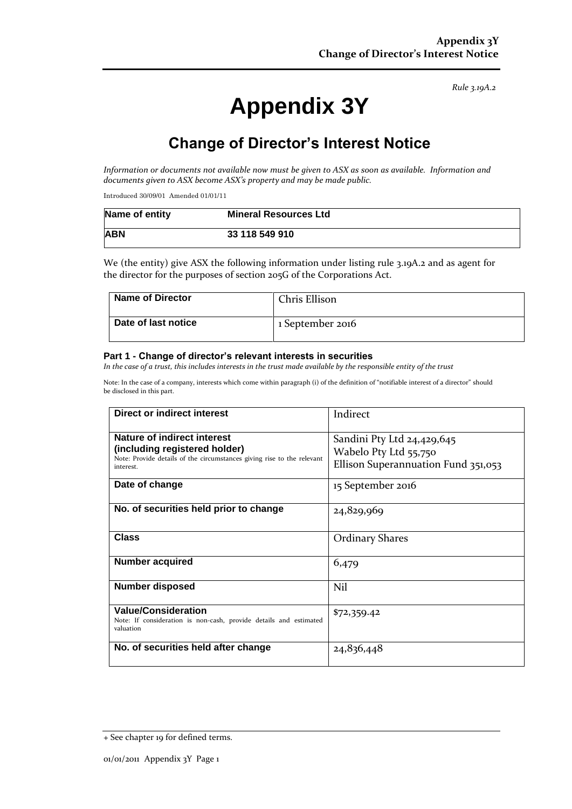*Rule 3.19A.2*

# **Appendix 3Y**

# **Change of Director's Interest Notice**

*Information or documents not available now must be given to ASX as soon as available. Information and documents given to ASX become ASX's property and may be made public.*

Introduced 30/09/01 Amended 01/01/11

| Name of entity | <b>Mineral Resources Ltd</b> |
|----------------|------------------------------|
| <b>ABN</b>     | 33 118 549 910               |

We (the entity) give ASX the following information under listing rule 3.19A.2 and as agent for the director for the purposes of section 205G of the Corporations Act.

| <b>Name of Director</b> | Chris Ellison    |
|-------------------------|------------------|
| Date of last notice     | 1 September 2016 |

#### **Part 1 - Change of director's relevant interests in securities**

*In the case of a trust, this includes interests in the trust made available by the responsible entity of the trust*

Note: In the case of a company, interests which come within paragraph (i) of the definition of "notifiable interest of a director" should be disclosed in this part.

| Direct or indirect interest                                                                                                                         | Indirect                                                                                   |  |
|-----------------------------------------------------------------------------------------------------------------------------------------------------|--------------------------------------------------------------------------------------------|--|
| Nature of indirect interest<br>(including registered holder)<br>Note: Provide details of the circumstances giving rise to the relevant<br>interest. | Sandini Pty Ltd 24,429,645<br>Wabelo Pty Ltd 55,750<br>Ellison Superannuation Fund 351,053 |  |
| Date of change                                                                                                                                      | 15 September 2016                                                                          |  |
| No. of securities held prior to change                                                                                                              | 24,829,969                                                                                 |  |
| <b>Class</b>                                                                                                                                        | <b>Ordinary Shares</b>                                                                     |  |
| Number acquired                                                                                                                                     | 6,479                                                                                      |  |
| <b>Number disposed</b>                                                                                                                              | Nil                                                                                        |  |
| <b>Value/Consideration</b><br>Note: If consideration is non-cash, provide details and estimated<br>valuation                                        | \$72,359.42                                                                                |  |
| No. of securities held after change                                                                                                                 | 24,836,448                                                                                 |  |

<sup>+</sup> See chapter 19 for defined terms.